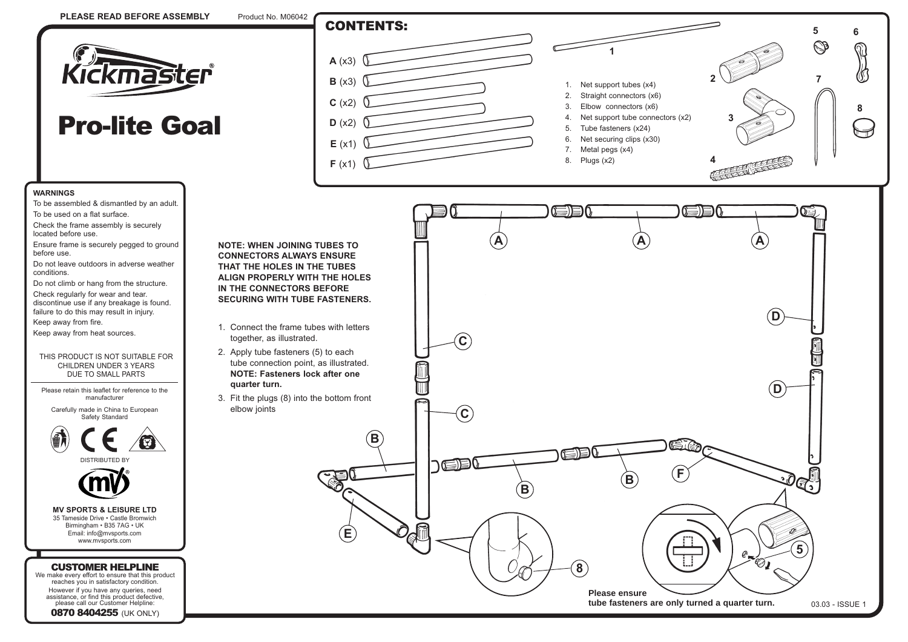

## Pro-lite Goal

## **WARNINGS**

- To be assembled & dismantled by an adult. To be used on a flat surface.
- Check the frame assembly is securely located before use.
- Ensure frame is securely pegged to ground before use.
- Do not leave outdoors in adverse weather conditions.
- Do not climb or hang from the structure. Check regularly for wear and tear. discontinue use if any breakage is found. failure to do this may result in injury.
- Keep away from fire.
- Keep away from heat sources.

## THIS PRODUCT IS NOT SUITABLE FOR CHILDREN UNDER 3 YEARS DUE TO SMALL PARTS

Please retain this leaflet for reference to the manufacturer







**MV SPORTS & LEISURE LTD** 35 Tameside Drive • Castle Bromwich Birmingham • B35 7AG • UK Email: info@mvsports.com www.mvsports.com

## CUSTOMER HELPLINE

We make every effort to ensure that this product reaches you in satisfactory condition. However if you have any queries, need

assistance, or find this product defective, please call our Customer Helpline: